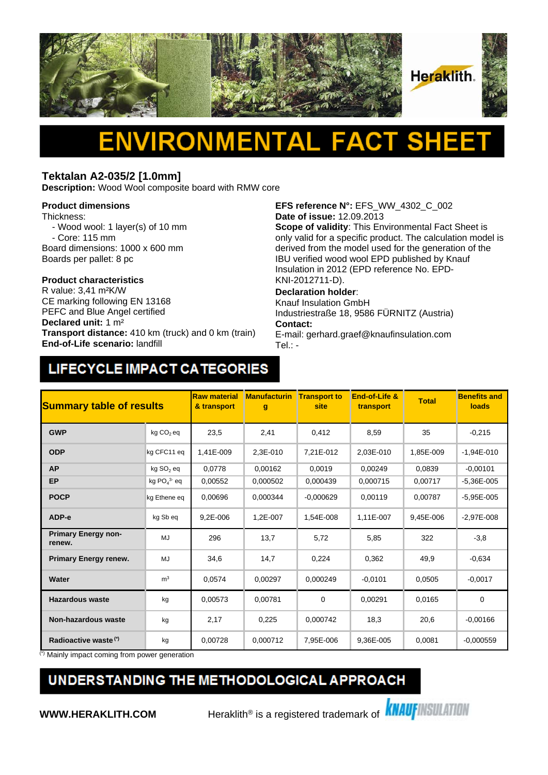

### **Tektalan A2-035/2 [1.0mm]**

**Description:** Wood Wool composite board with RMW core

#### **Product dimensions**

Thickness:

- Wood wool: 1 layer(s) of 10 mm

 - Core: 115 mm Board dimensions: 1000 x 600 mm Boards per pallet: 8 pc

# **Product characteristics**

CE marking following EN 13168 PEFC and Blue Angel certified **Declared unit:** 1 m² **Transport distance:** 410 km (truck) and 0 km (train) **End-of-Life scenario:** landfill

**EFS reference N°:** EFS\_WW\_4302\_C\_002 **Date of issue:** 12.09.2013

**Scope of validity**: This Environmental Fact Sheet is only valid for a specific product. The calculation model is derived from the model used for the generation of the IBU verified wood wool EPD published by Knauf Insulation in 2012 (EPD reference No. EPD-KNI-2012711-D).

### **Declaration holder**:

Knauf Insulation GmbH Industriestraße 18, 9586 FÜRNITZ (Austria) **Contact:** 

E-mail: gerhard.graef@knaufinsulation.com Tel.: -

## LIFECYCLE IMPACT CATEGORIES

| <b>Summary table of results</b>      |                       | <b>Raw material</b><br>& transport | <b>Manufacturin</b><br>g | <b>Transport to</b><br>site | End-of-Life &<br>transport | <b>Total</b> | <b>Benefits and</b><br>loads |
|--------------------------------------|-----------------------|------------------------------------|--------------------------|-----------------------------|----------------------------|--------------|------------------------------|
| <b>GWP</b>                           | kg CO <sub>2</sub> eq | 23,5                               | 2,41                     | 0,412                       | 8,59                       | 35           | $-0,215$                     |
| <b>ODP</b>                           | kg CFC11 eq           | 1.41E-009                          | 2,3E-010                 | 7.21E-012                   | 2.03E-010                  | 1,85E-009    | $-1,94E-010$                 |
| <b>AP</b>                            | kg SO <sub>2</sub> eq | 0.0778                             | 0,00162                  | 0,0019                      | 0,00249                    | 0,0839       | $-0,00101$                   |
| <b>EP</b>                            | kg $PO43$ eq          | 0.00552                            | 0,000502                 | 0.000439                    | 0.000715                   | 0,00717      | $-5.36E - 005$               |
| <b>POCP</b>                          | kg Ethene eq          | 0,00696                            | 0.000344                 | $-0,000629$                 | 0,00119                    | 0,00787      | $-5,95E-005$                 |
| ADP-e                                | kg Sb eq              | 9,2E-006                           | 1,2E-007                 | 1,54E-008                   | 1,11E-007                  | 9,45E-006    | $-2,97E-008$                 |
| <b>Primary Energy non-</b><br>renew. | MJ                    | 296                                | 13,7                     | 5,72                        | 5,85                       | 322          | $-3,8$                       |
| <b>Primary Energy renew.</b>         | MJ                    | 34,6                               | 14,7                     | 0,224                       | 0,362                      | 49,9         | $-0,634$                     |
| Water                                | m <sup>3</sup>        | 0,0574                             | 0,00297                  | 0,000249                    | $-0.0101$                  | 0,0505       | $-0,0017$                    |
| <b>Hazardous waste</b>               | kg                    | 0,00573                            | 0,00781                  | 0                           | 0,00291                    | 0,0165       | $\mathbf 0$                  |
| <b>Non-hazardous waste</b>           | kg                    | 2,17                               | 0,225                    | 0,000742                    | 18,3                       | 20,6         | $-0,00166$                   |
| Radioactive waste <sup>(*)</sup>     | kg                    | 0,00728                            | 0,000712                 | 7,95E-006                   | 9,36E-005                  | 0,0081       | $-0,000559$                  |

(\*) Mainly impact coming from power generation

## UNDERSTANDING THE METHODOLOGICAL APPROACH

**WWW.HERAKLITH.COM** Heraklith<sup>®</sup> is a registered trademark of **KNAUFINSULATION**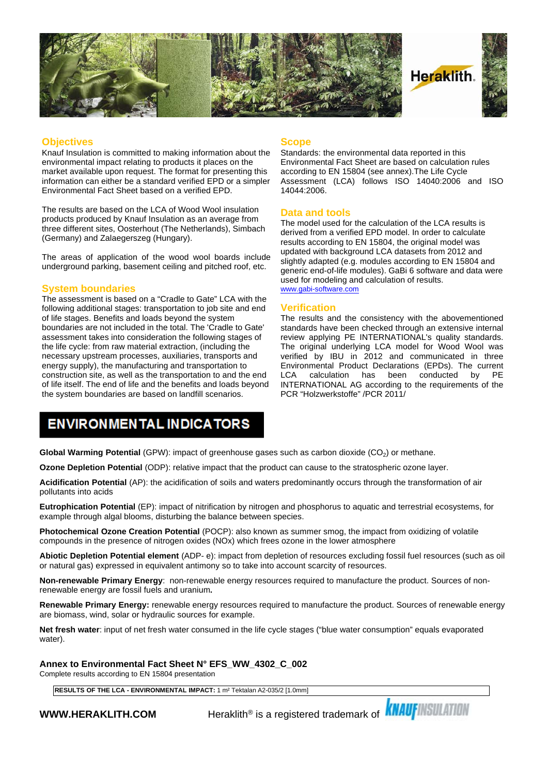

#### **Objectives**

Knauf Insulation is committed to making information about the environmental impact relating to products it places on the market available upon request. The format for presenting this information can either be a standard verified EPD or a simpler Environmental Fact Sheet based on a verified EPD.

The results are based on the LCA of Wood Wool insulation products produced by Knauf Insulation as an average from three different sites, Oosterhout (The Netherlands), Simbach (Germany) and Zalaegerszeg (Hungary).

The areas of application of the wood wool boards include underground parking, basement ceiling and pitched roof, etc.

#### **System boundaries**

The assessment is based on a "Cradle to Gate" LCA with the following additional stages: transportation to job site and end of life stages. Benefits and loads beyond the system boundaries are not included in the total. The 'Cradle to Gate' assessment takes into consideration the following stages of the life cycle: from raw material extraction, (including the necessary upstream processes, auxiliaries, transports and energy supply), the manufacturing and transportation to construction site, as well as the transportation to and the end LCA of life itself. The end of life and the benefits and loads beyond the system boundaries are based on landfill scenarios.

#### **Scope**

Standards: the environmental data reported in this Environmental Fact Sheet are based on calculation rules according to EN 15804 (see annex).The Life Cycle Assessment (LCA) follows ISO 14040:2006 and ISO 14044:2006.

#### **Data and tools**

The model used for the calculation of the LCA results is derived from a verified EPD model. In order to calculate results according to EN 15804, the original model was updated with background LCA datasets from 2012 and slightly adapted (e.g. modules according to EN 15804 and generic end-of-life modules). GaBi 6 software and data were used for modeling and calculation of results. [www.gabi-software.com](http://www.gabi-software.com)

#### **Verification**

The results and the consistency with the abovementioned standards have been checked through an extensive internal review applying PE INTERNATIONAL's quality standards. The original underlying LCA model for Wood Wool was verified by IBU in 2012 and communicated in three Environmental Product Declarations (EPDs). The current calculation has been conducted INTERNATIONAL AG according to the requirements of the PCR "Holzwerkstoffe" /PCR 2011/

### **ENVIRONMENTAL INDICATORS**

**Global Warming Potential** (GPW): impact of greenhouse gases such as carbon dioxide (CO<sub>2</sub>) or methane.

**Ozone Depletion Potential** (ODP): relative impact that the product can cause to the stratospheric ozone layer.

**Acidification Potential** (AP): the acidification of soils and waters predominantly occurs through the transformation of air pollutants into acids

**Eutrophication Potential** (EP): impact of nitrification by nitrogen and phosphorus to aquatic and terrestrial ecosystems, for example through algal blooms, disturbing the balance between species.

**Photochemical Ozone Creation Potential** (POCP): also known as summer smog, the impact from oxidizing of volatile compounds in the presence of nitrogen oxides (NOx) which frees ozone in the lower atmosphere

**Abiotic Depletion Potential element** (ADP- e): impact from depletion of resources excluding fossil fuel resources (such as oil or natural gas) expressed in equivalent antimony so to take into account scarcity of resources.

**Non-renewable Primary Energy**: non-renewable energy resources required to manufacture the product. Sources of nonrenewable energy are fossil fuels and uranium**.**

**Renewable Primary Energy:** renewable energy resources required to manufacture the product. Sources of renewable energy are biomass, wind, solar or hydraulic sources for example.

**Net fresh water**: input of net fresh water consumed in the life cycle stages ("blue water consumption" equals evaporated water).

**Annex to Environmental Fact Sheet N° EFS\_WW\_4302\_C\_002**

Complete results according to EN 15804 presentation

**RESULTS OF THE LCA - ENVIRONMENTAL IMPACT:** 1 m² Tektalan A2-035/2 [1.0mm]

**WWW.HERAKLITH.COM** Heraklith® is a registered trademark of **KNAUFINSULATION**